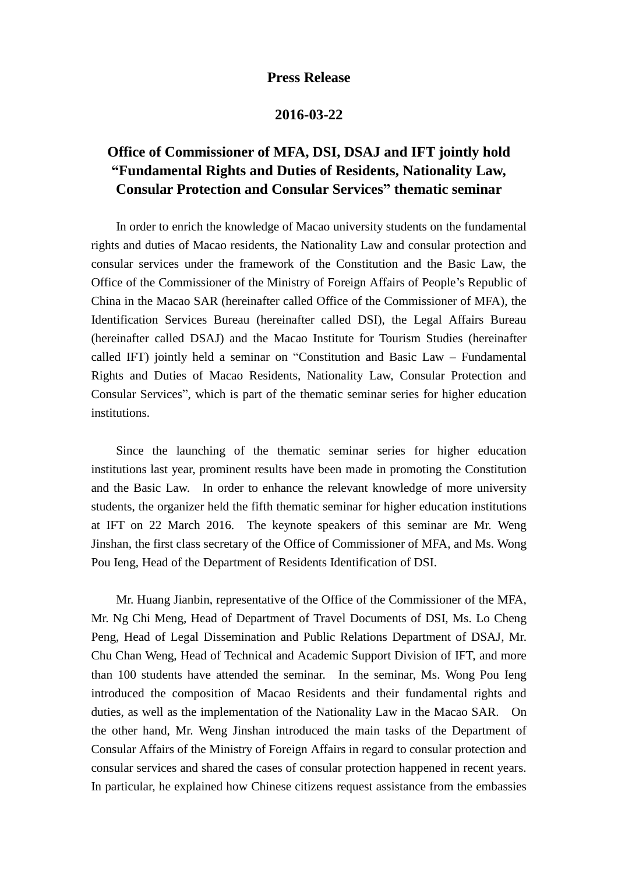## **Press Release**

## **2016-03-22**

## **Office of Commissioner of MFA, DSI, DSAJ and IFT jointly hold "Fundamental Rights and Duties of Residents, Nationality Law, Consular Protection and Consular Services" thematic seminar**

In order to enrich the knowledge of Macao university students on the fundamental rights and duties of Macao residents, the Nationality Law and consular protection and consular services under the framework of the Constitution and the Basic Law, the Office of the Commissioner of the Ministry of Foreign Affairs of People's Republic of China in the Macao SAR (hereinafter called Office of the Commissioner of MFA), the Identification Services Bureau (hereinafter called DSI), the Legal Affairs Bureau (hereinafter called DSAJ) and the Macao Institute for Tourism Studies (hereinafter called IFT) jointly held a seminar on "Constitution and Basic Law – Fundamental Rights and Duties of Macao Residents, Nationality Law, Consular Protection and Consular Services", which is part of the thematic seminar series for higher education institutions.

Since the launching of the thematic seminar series for higher education institutions last year, prominent results have been made in promoting the Constitution and the Basic Law. In order to enhance the relevant knowledge of more university students, the organizer held the fifth thematic seminar for higher education institutions at IFT on 22 March 2016. The keynote speakers of this seminar are Mr. Weng Jinshan, the first class secretary of the Office of Commissioner of MFA, and Ms. Wong Pou Ieng, Head of the Department of Residents Identification of DSI.

Mr. Huang Jianbin, representative of the Office of the Commissioner of the MFA, Mr. Ng Chi Meng, Head of Department of Travel Documents of DSI, Ms. Lo Cheng Peng, Head of Legal Dissemination and Public Relations Department of DSAJ, Mr. Chu Chan Weng, Head of Technical and Academic Support Division of IFT, and more than 100 students have attended the seminar. In the seminar, Ms. Wong Pou Ieng introduced the composition of Macao Residents and their fundamental rights and duties, as well as the implementation of the Nationality Law in the Macao SAR. On the other hand, Mr. Weng Jinshan introduced the main tasks of the Department of Consular Affairs of the Ministry of Foreign Affairs in regard to consular protection and consular services and shared the cases of consular protection happened in recent years. In particular, he explained how Chinese citizens request assistance from the embassies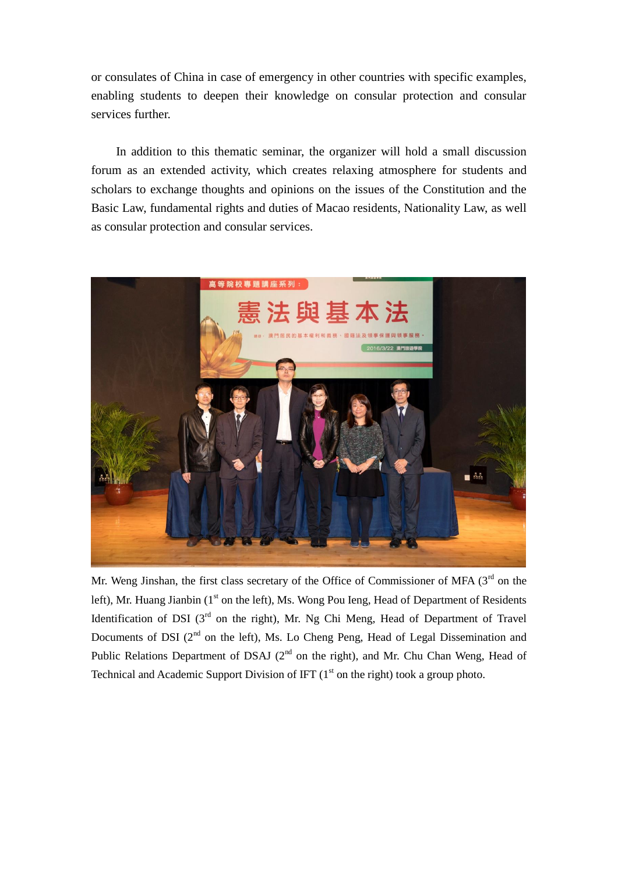or consulates of China in case of emergency in other countries with specific examples, enabling students to deepen their knowledge on consular protection and consular services further.

In addition to this thematic seminar, the organizer will hold a small discussion forum as an extended activity, which creates relaxing atmosphere for students and scholars to exchange thoughts and opinions on the issues of the Constitution and the Basic Law, fundamental rights and duties of Macao residents, Nationality Law, as well as consular protection and consular services.



Mr. Weng Jinshan, the first class secretary of the Office of Commissioner of MFA  $(3<sup>rd</sup>$  on the left), Mr. Huang Jianbin (1<sup>st</sup> on the left), Ms. Wong Pou Ieng, Head of Department of Residents Identification of DSI  $(3<sup>rd</sup>$  on the right), Mr. Ng Chi Meng, Head of Department of Travel Documents of DSI  $(2^{nd}$  on the left), Ms. Lo Cheng Peng, Head of Legal Dissemination and Public Relations Department of DSAJ  $(2^{nd}$  on the right), and Mr. Chu Chan Weng, Head of Technical and Academic Support Division of IFT  $(1<sup>st</sup>$  on the right) took a group photo.